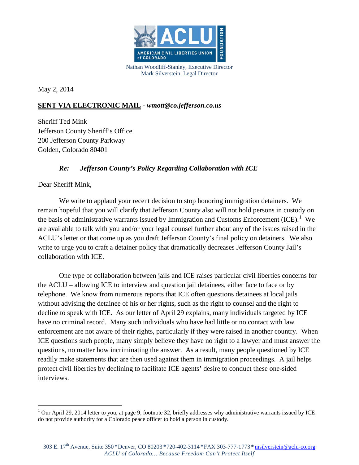

Nathan Woodliff-Stanley, Executive Director Mark Silverstein, Legal Director

May 2, 2014

## **SENT VIA ELECTRONIC MAIL -** *wmott@co.jefferson.co.us*

Sheriff Ted Mink Jefferson County Sheriff's Office 200 Jefferson County Parkway Golden, Colorado 80401

## *Re: Jefferson County's Policy Regarding Collaboration with ICE*

Dear Sheriff Mink,

We write to applaud your recent decision to stop honoring immigration detainers. We remain hopeful that you will clarify that Jefferson County also will not hold persons in custody on the basis of administrative warrants issued by Immigration and Customs Enforcement  ${[ICE)}$ .<sup>[1](#page-0-0)</sup> We are available to talk with you and/or your legal counsel further about any of the issues raised in the ACLU's letter or that come up as you draft Jefferson County's final policy on detainers. We also write to urge you to craft a detainer policy that dramatically decreases Jefferson County Jail's collaboration with ICE.

One type of collaboration between jails and ICE raises particular civil liberties concerns for the ACLU – allowing ICE to interview and question jail detainees, either face to face or by telephone. We know from numerous reports that ICE often questions detainees at local jails without advising the detainee of his or her rights, such as the right to counsel and the right to decline to speak with ICE. As our letter of April 29 explains, many individuals targeted by ICE have no criminal record. Many such individuals who have had little or no contact with law enforcement are not aware of their rights, particularly if they were raised in another country. When ICE questions such people, many simply believe they have no right to a lawyer and must answer the questions, no matter how incriminating the answer. As a result, many people questioned by ICE readily make statements that are then used against them in immigration proceedings. A jail helps protect civil liberties by declining to facilitate ICE agents' desire to conduct these one-sided interviews.

<span id="page-0-0"></span> $1$  Our April 29, 2014 letter to you, at page 9, footnote 32, briefly addresses why administrative warrants issued by ICE do not provide authority for a Colorado peace officer to hold a person in custody.